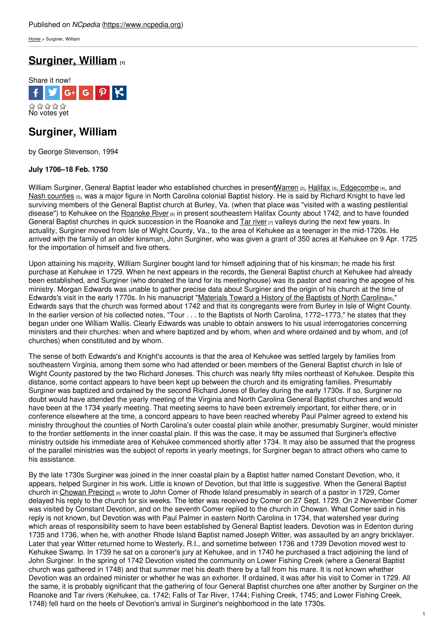[Home](https://www.ncpedia.org/) > Surginer, William

# **[Surginer,](https://www.ncpedia.org/biography/surginer-william) William [1]**



## **Surginer, William**

by George Stevenson, 1994

### **July 1706–18 Feb. 1750**

William Surginer, General Baptist leader who established churches in presen[tWarren](https://www.ncpedia.org/geography/warren) (2), [Halifax](https://www.ncpedia.org/geography/halifax) (3), [Edgecombe](https://www.ncpedia.org/geography/edgecombe) (4), and Nash [counties](https://www.ncpedia.org/geography/nash) [5], was a major figure in North [Carolina](http://www.social9.com) colonial Baptist history. He is said by Richard Knight to have led surviving members of the General Baptist church at Burley, Va. (when that place was "visited with a wasting pestilential disease") to Kehukee on the [Roanoke](https://www.ncpedia.org/rivers/roanoke) River <sup>[6]</sup> in present southeastern Halifax County about 1742, and to have founded General Baptist churches in quick succession in the Roanoke and  $Tar river_{[7]}$  $Tar river_{[7]}$  $Tar river_{[7]}$  valleys during the next few years. In actuality, Surginer moved from Isle of Wight County, Va., to the area of Kehukee as a teenager in the mid-1720s. He arrived with the family of an older kinsman, John Surginer, who was given a grant of 350 acres at Kehukee on 9 Apr. 1725 for the importation of himself and five others.

Upon attaining his majority, William Surginer bought land for himself adjoining that of his kinsman; he made his first purchase at Kehukee in 1729. When he next appears in the records, the General Baptist church at Kehukee had already been established, and Surginer (who donated the land for its meetinghouse) was its pastor and nearing the apogee of his ministry. Morgan Edwards was unable to gather precise data about Surginer and the origin of his church at the time of Edwards's visit in the early 1770s. In his manuscript ["Materials](https://docsouth.unc.edu/csr/index.html/document/csr05-0361) Toward a History of the Baptists of North Carolina(8)," Edwards says that the church was formed about 1742 and that its congregants were from Burley in Isle of Wight County. In the earlier version of his collected notes, "Tour . . . to the Baptists of North Carolina, 1772–1773," he states that they began under one William Wallis. Clearly Edwards was unable to obtain answers to his usual interrogatories concerning ministers and their churches: when and where baptized and by whom, when and where ordained and by whom, and (of churches) when constituted and by whom.

The sense of both Edwards's and Knight's accounts is that the area of Kehukee was settled largely by families from southeastern Virginia, among them some who had attended or been members of the General Baptist church in Isle of Wight County pastored by the two Richard Joneses. This church was nearly fifty miles northeast of Kehukee. Despite this distance, some contact appears to have been kept up between the church and its emigrating families. Presumably Surginer was baptized and ordained by the second Richard Jones of Burley during the early 1730s. If so, Surginer no doubt would have attended the yearly meeting of the Virginia and North Carolina General Baptist churches and would have been at the 1734 yearly meeting. That meeting seems to have been extremely important, for either there, or in conference elsewhere at the time, a concord appears to have been reached whereby Paul Palmer agreed to extend his ministry throughout the counties of North Carolina's outer coastal plain while another, presumably Surginer, would minister to the frontier settlements in the inner coastal plain. If this was the case, it may be assumed that Surginer's effective ministry outside his immediate area of Kehukee commenced shortly after 1734. It may also be assumed that the progress of the parallel ministries was the subject of reports in yearly meetings, for Surginer began to attract others who came to his assistance.

By the late 1730s Surginer was joined in the inner coastal plain by a Baptist hatter named Constant Devotion, who, it appears, helped Surginer in his work. Little is known of Devotion, but that little is suggestive. When the General Baptist church in [Chowan](https://www.ncpedia.org/geography/chowan) Precinct [9] wrote to John Comer of Rhode Island presumably in search of a pastor in 1729, Comer delayed his reply to the church for six weeks. The letter was received by Comer on 27 Sept. 1729. On 2 November Comer was visited by Constant Devotion, and on the seventh Comer replied to the church in Chowan. What Comer said in his reply is not known, but Devotion was with Paul Palmer in eastern North Carolina in 1734, that watershed year during which areas of responsibility seem to have been established by General Baptist leaders. Devotion was in Edenton during 1735 and 1736, when he, with another Rhode Island Baptist named Joseph Witter, was assaulted by an angry bricklayer. Later that year Witter returned home to Westerly, R.I., and sometime between 1736 and 1739 Devotion moved west to Kehukee Swamp. In 1739 he sat on a coroner's jury at Kehukee, and in 1740 he purchased a tract adjoining the land of John Surginer. In the spring of 1742 Devotion visited the community on Lower Fishing Creek (where a General Baptist church was gathered in 1748) and that summer met his death there by a fall from his mare. It is not known whether Devotion was an ordained minister or whether he was an exhorter. If ordained, it was after his visit to Comer in 1729. All the same, it is probably significant that the gathering of four General Baptist churches one after another by Surginer on the Roanoke and Tar rivers (Kehukee, ca. 1742; Falls of Tar River, 1744; Fishing Creek, 1745; and Lower Fishing Creek, 1748) fell hard on the heels of Devotion's arrival in Surginer's neighborhood in the late 1730s.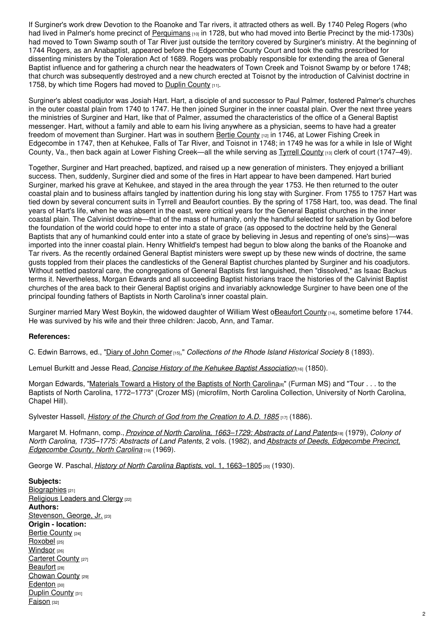If Surginer's work drew Devotion to the Roanoke and Tar rivers, it attracted others as well. By 1740 Peleg Rogers (who had lived in Palmer's home precinct of [Perquimans](https://www.ncpedia.org/geography/perquimans) [10] in 1728, but who had moved into Bertie Precinct by the mid-1730s) had moved to Town Swamp south of Tar River just outside the territory covered by Surginer's ministry. At the beginning of 1744 Rogers, as an Anabaptist, appeared before the Edgecombe County Court and took the oaths prescribed for dissenting ministers by the Toleration Act of 1689. Rogers was probably responsible for extending the area of General Baptist influence and for gathering a church near the headwaters of Town Creek and Toisnot Swamp by or before 1748; that church was subsequently destroyed and a new church erected at Toisnot by the introduction of Calvinist doctrine in 1758, by which time Rogers had moved to Duplin [County](https://www.ncpedia.org/geography/duplin)  $[11]$ .

Surginer's ablest coadjutor was Josiah Hart. Hart, a disciple of and successor to Paul Palmer, fostered Palmer's churches in the outer coastal plain from 1740 to 1747. He then joined Surginer in the inner coastal plain. Over the next three years the ministries of Surginer and Hart, like that of Palmer, assumed the characteristics of the office of a General Baptist messenger. Hart, without a family and able to earn his living anywhere as a physician, seems to have had a greater freedom of movement than Surginer. Hart was in southern Bertie [County](https://www.ncpedia.org/geography/bertie) [12] in 1746, at Lower Fishing Creek in Edgecombe in 1747, then at Kehukee, Falls of Tar River, and Toisnot in 1748; in 1749 he was for a while in Isle of Wight [County](https://www.ncpedia.org/geography/tyrrell), Va., then back again at Lower Fishing Creek—all the while serving as Tyrrell County [13] clerk of court (1747–49).

Together, Surginer and Hart preached, baptized, and raised up a new generation of ministers. They enjoyed a brilliant success. Then, suddenly, Surginer died and some of the fires in Hart appear to have been dampened. Hart buried Surginer, marked his grave at Kehukee, and stayed in the area through the year 1753. He then returned to the outer coastal plain and to business affairs tangled by inattention during his long stay with Surginer. From 1755 to 1757 Hart was tied down by several concurrent suits in Tyrrell and Beaufort counties. By the spring of 1758 Hart, too, was dead. The final years of Hart's life, when he was absent in the east, were critical years for the General Baptist churches in the inner coastal plain. The Calvinist doctrine—that of the mass of humanity, only the handful selected for salvation by God before the foundation of the world could hope to enter into a state of grace (as opposed to the doctrine held by the General Baptists that any of humankind could enter into a state of grace by believing in Jesus and repenting of one's sins)—was imported into the inner coastal plain. Henry Whitfield's tempest had begun to blow along the banks of the Roanoke and Tar rivers. As the recently ordained General Baptist ministers were swept up by these new winds of doctrine, the same gusts toppled from their places the candlesticks of the General Baptist churches planted by Surginer and his coadjutors. Without settled pastoral care, the congregations of General Baptists first languished, then "dissolved," as Isaac Backus terms it. Nevertheless, Morgan Edwards and all succeeding Baptist historians trace the histories of the Calvinist Baptist churches of the area back to their General Baptist origins and invariably acknowledge Surginer to have been one of the principal founding fathers of Baptists in North Carolina's inner coastal plain.

Surginer married Mary West Boykin, the widowed daughter of William West oBeaufort County [14], sometime before 1744. He was survived by his wife and their three children: Jacob, Ann, and Tamar.

#### **References:**

C. Edwin Barrows, ed., "Diary of John [Comer](https://archive.org/details/rhodeislandhist01socigoog)[15]," *Collections of the Rhode Island Historical Society* 8 (1893).

Lemuel Burkitt and Jesse Read, *Concise History of the Kehukee Baptist [Association](https://archive.org/details/concisehistoryof00burk)*[16] (1850).

Morgan Edwards, ["Materials](https://docsouth.unc.edu/csr/index.html/document/csr05-0361) Toward a History of the Baptists of North Carolina <sup>8</sup>" (Furman MS) and "Tour . . . to the Baptists of North Carolina, 1772–1773" (Crozer MS) (microfilm, North Carolina Collection, University of North Carolina, Chapel Hill).

Sylvester Hassell, *History of the Church of God from the [Creation](https://archive.org/details/cu31924029245128) to A.D. 1885* [17] (1886).

Margaret M. Hofmann, comp., *Province of North Carolina, [1663–1729:](https://www.worldcat.org/title/province-of-north-carolina-1663-1729-abstracts-of-land-patents/oclc/5519774) Abstracts of Land Patents*[18] (1979), *Colony of North Carolina, 1735–1775: Abstracts of Land Patents*, 2 vols. (1982), and *Abstracts of Deeds, [Edgecombe](https://www.worldcat.org/title/abstracts-of-deeds-edgecombe-precinct-edgecombe-county-north-carolina-1732-throuh-1758-as-found-in-halifax-county-north-carolina-public-registry-deed-books-1-2-3-4-5-6/oclc/2342200) Precinct, Edgecombe County, North Carolina* [19] (1969).

George W. Paschal, *History of North Carolina Baptists*, vol. 1, [1663–1805](https://archive.org/details/historyofnorthca11pasc)<sub>[20]</sub> (1930).

**Subjects:** [Biographies](https://www.ncpedia.org/category/subjects/biography-term) [21] [Religious](https://www.ncpedia.org/category/subjects/clergy) Leaders and Clergy [22] **Authors:** [Stevenson,](https://www.ncpedia.org/category/authors/stevenson-george) George, Jr. [23] **Origin - location:** Bertie [County](https://www.ncpedia.org/category/origin-location/coastal-29) [24] [Roxobel](https://www.ncpedia.org/category/origin-location/roxobel) [25] [Windsor](https://www.ncpedia.org/category/origin-location/windsor) [26] [Carteret](https://www.ncpedia.org/category/origin-location/coastal-15) County [27] [Beaufort](https://www.ncpedia.org/category/origin-location/coastal-43) [28] [Chowan](https://www.ncpedia.org/category/origin-location/coastal-38) County [29] [Edenton](https://www.ncpedia.org/category/origin-location/coastal-56) [30] Duplin [County](https://www.ncpedia.org/category/origin-location/coastal--9) [31] [Faison](https://www.ncpedia.org/category/origin-location/faison) [32]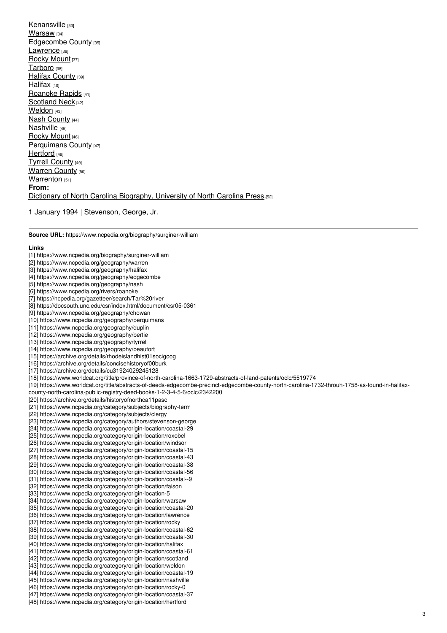[Kenansville](https://www.ncpedia.org/category/origin-location-5) [33] [Warsaw](https://www.ncpedia.org/category/origin-location/warsaw) [34] [Edgecombe](https://www.ncpedia.org/category/origin-location/coastal-20) County [35] [Lawrence](https://www.ncpedia.org/category/origin-location/lawrence) [36] [Rocky](https://www.ncpedia.org/category/origin-location/rocky) Mount [37] [Tarboro](https://www.ncpedia.org/category/origin-location/coastal-62) [38] Halifax [County](https://www.ncpedia.org/category/origin-location/coastal-30) [39] [Halifax](https://www.ncpedia.org/category/origin-location/halifax) [40] [Roanoke](https://www.ncpedia.org/category/origin-location/coastal-61) Rapids [41] [Scotland](https://www.ncpedia.org/category/origin-location/scotland) Neck [42] [Weldon](https://www.ncpedia.org/category/origin-location/weldon) [43] Nash [County](https://www.ncpedia.org/category/origin-location/coastal-19) [44] [Nashville](https://www.ncpedia.org/category/origin-location/nashville) [45] [Rocky](https://www.ncpedia.org/category/origin-location/rocky-0) Mount [46] [Perquimans](https://www.ncpedia.org/category/origin-location/coastal-37) County [47] [Hertford](https://www.ncpedia.org/category/origin-location/hertford) [48] Tyrrell [County](https://www.ncpedia.org/category/origin-location/coastal-26) [49] [Warren](https://www.ncpedia.org/category/origin-location/piedmont-2) County [50] [Warrenton](https://www.ncpedia.org/category/origin-location/warrenton) [51] **From:** Dictionary of North Carolina [Biography,](https://www.ncpedia.org/category/entry-source/dictionary-no) University of North Carolina Press.<sup>[52]</sup>

1 January 1994 | Stevenson, George, Jr.

**Source URL:** https://www.ncpedia.org/biography/surginer-william

#### **Links**

[1] https://www.ncpedia.org/biography/surginer-william [2] https://www.ncpedia.org/geography/warren [3] https://www.ncpedia.org/geography/halifax [4] https://www.ncpedia.org/geography/edgecombe [5] https://www.ncpedia.org/geography/nash [6] https://www.ncpedia.org/rivers/roanoke [7] https://ncpedia.org/gazetteer/search/Tar%20river [8] https://docsouth.unc.edu/csr/index.html/document/csr05-0361 [9] https://www.ncpedia.org/geography/chowan [10] https://www.ncpedia.org/geography/perquimans [11] https://www.ncpedia.org/geography/duplin [12] https://www.ncpedia.org/geography/bertie [13] https://www.ncpedia.org/geography/tyrrell [14] https://www.ncpedia.org/geography/beaufort [15] https://archive.org/details/rhodeislandhist01socigoog [16] https://archive.org/details/concisehistoryof00burk [17] https://archive.org/details/cu31924029245128 [18] https://www.worldcat.org/title/province-of-north-carolina-1663-1729-abstracts-of-land-patents/oclc/5519774 [19] https://www.worldcat.org/title/abstracts-of-deeds-edgecombe-precinct-edgecombe-county-north-carolina-1732-throuh-1758-as-found-in-halifaxcounty-north-carolina-public-registry-deed-books-1-2-3-4-5-6/oclc/2342200 [20] https://archive.org/details/historyofnorthca11pasc [21] https://www.ncpedia.org/category/subjects/biography-term [22] https://www.ncpedia.org/category/subjects/clergy [23] https://www.ncpedia.org/category/authors/stevenson-george [24] https://www.ncpedia.org/category/origin-location/coastal-29 [25] https://www.ncpedia.org/category/origin-location/roxobel [26] https://www.ncpedia.org/category/origin-location/windsor [27] https://www.ncpedia.org/category/origin-location/coastal-15 [28] https://www.ncpedia.org/category/origin-location/coastal-43 [29] https://www.ncpedia.org/category/origin-location/coastal-38 [30] https://www.ncpedia.org/category/origin-location/coastal-56 [31] https://www.ncpedia.org/category/origin-location/coastal--9 [32] https://www.ncpedia.org/category/origin-location/faison [33] https://www.ncpedia.org/category/origin-location-5 [34] https://www.ncpedia.org/category/origin-location/warsaw [35] https://www.ncpedia.org/category/origin-location/coastal-20 [36] https://www.ncpedia.org/category/origin-location/lawrence [37] https://www.ncpedia.org/category/origin-location/rocky [38] https://www.ncpedia.org/category/origin-location/coastal-62 [39] https://www.ncpedia.org/category/origin-location/coastal-30 [40] https://www.ncpedia.org/category/origin-location/halifax [41] https://www.ncpedia.org/category/origin-location/coastal-61 [42] https://www.ncpedia.org/category/origin-location/scotland [43] https://www.ncpedia.org/category/origin-location/weldon [44] https://www.ncpedia.org/category/origin-location/coastal-19 [45] https://www.ncpedia.org/category/origin-location/nashville [46] https://www.ncpedia.org/category/origin-location/rocky-0 [47] https://www.ncpedia.org/category/origin-location/coastal-37 [48] https://www.ncpedia.org/category/origin-location/hertford